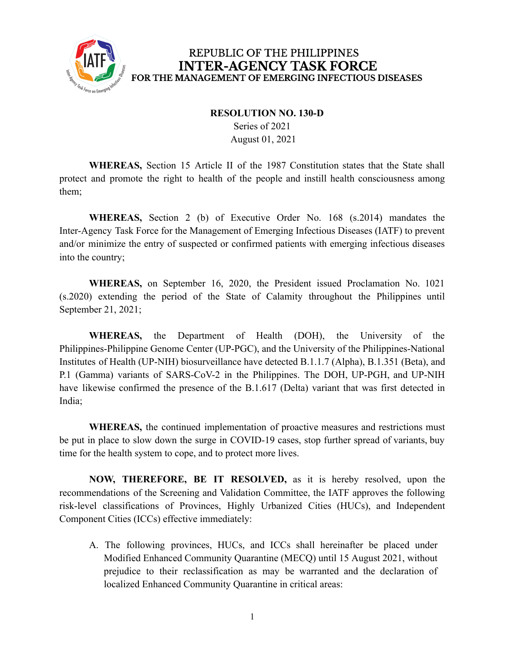

#### **RESOLUTION NO. 130-D**

Series of 2021 August 01, 2021

**WHEREAS,** Section 15 Article II of the 1987 Constitution states that the State shall protect and promote the right to health of the people and instill health consciousness among them;

**WHEREAS,** Section 2 (b) of Executive Order No. 168 (s.2014) mandates the Inter-Agency Task Force for the Management of Emerging Infectious Diseases (IATF) to prevent and/or minimize the entry of suspected or confirmed patients with emerging infectious diseases into the country;

**WHEREAS,** on September 16, 2020, the President issued Proclamation No. 1021 (s.2020) extending the period of the State of Calamity throughout the Philippines until September 21, 2021;

**WHEREAS,** the Department of Health (DOH), the University of the Philippines-Philippine Genome Center (UP-PGC), and the University of the Philippines-National Institutes of Health (UP-NIH) biosurveillance have detected B.1.1.7 (Alpha), B.1.351 (Beta), and P.1 (Gamma) variants of SARS-CoV-2 in the Philippines. The DOH, UP-PGH, and UP-NIH have likewise confirmed the presence of the B.1.617 (Delta) variant that was first detected in India;

**WHEREAS,** the continued implementation of proactive measures and restrictions must be put in place to slow down the surge in COVID-19 cases, stop further spread of variants, buy time for the health system to cope, and to protect more lives.

**NOW, THEREFORE, BE IT RESOLVED,** as it is hereby resolved, upon the recommendations of the Screening and Validation Committee, the IATF approves the following risk-level classifications of Provinces, Highly Urbanized Cities (HUCs), and Independent Component Cities (ICCs) effective immediately:

A. The following provinces, HUCs, and ICCs shall hereinafter be placed under Modified Enhanced Community Quarantine (MECQ) until 15 August 2021, without prejudice to their reclassification as may be warranted and the declaration of localized Enhanced Community Quarantine in critical areas: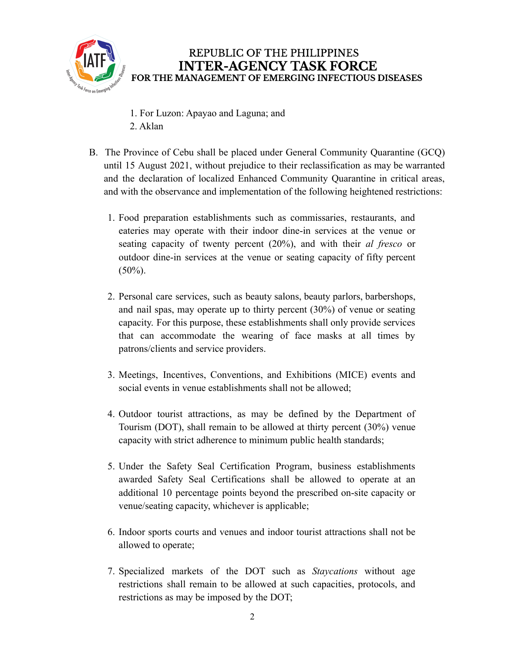

- 1. For Luzon: Apayao and Laguna; and 2. Aklan
- B. The Province of Cebu shall be placed under General Community Quarantine (GCQ) until 15 August 2021, without prejudice to their reclassification as may be warranted and the declaration of localized Enhanced Community Quarantine in critical areas, and with the observance and implementation of the following heightened restrictions:
	- 1. Food preparation establishments such as commissaries, restaurants, and eateries may operate with their indoor dine-in services at the venue or seating capacity of twenty percent (20%), and with their *al fresco* or outdoor dine-in services at the venue or seating capacity of fifty percent  $(50\%)$ .
	- 2. Personal care services, such as beauty salons, beauty parlors, barbershops, and nail spas, may operate up to thirty percent (30%) of venue or seating capacity. For this purpose, these establishments shall only provide services that can accommodate the wearing of face masks at all times by patrons/clients and service providers.
	- 3. Meetings, Incentives, Conventions, and Exhibitions (MICE) events and social events in venue establishments shall not be allowed;
	- 4. Outdoor tourist attractions, as may be defined by the Department of Tourism (DOT), shall remain to be allowed at thirty percent (30%) venue capacity with strict adherence to minimum public health standards;
	- 5. Under the Safety Seal Certification Program, business establishments awarded Safety Seal Certifications shall be allowed to operate at an additional 10 percentage points beyond the prescribed on-site capacity or venue/seating capacity, whichever is applicable;
	- 6. Indoor sports courts and venues and indoor tourist attractions shall not be allowed to operate;
	- 7. Specialized markets of the DOT such as *Staycations* without age restrictions shall remain to be allowed at such capacities, protocols, and restrictions as may be imposed by the DOT;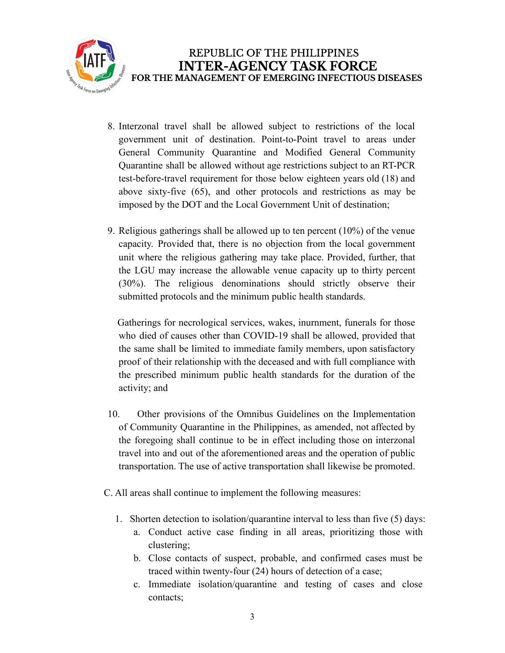

- 8. Interzonal travel shall be allowed subject to restrictions of the local government unit of destination. Point-to-Point travel to areas under General Community Quarantine and Modified General Community Quarantine shall be allowed without age restrictions subject to an RT-PCR test-before-travel requirement for those below eighteen years old (18) and above sixty-five (65), and other protocols and restrictions as may be imposed by the DOT and the Local Government Unit of destination;
- 9. Religious gatherings shall be allowed up to ten percent (10%) of the venue capacity. Provided that, there is no objection from the local government unit where the religious gathering may take place. Provided, further, that the LGU may increase the allowable venue capacity up to thirty percent (30%). The religious denominations should strictly observe their submitted protocols and the minimum public health standards.

Gatherings for necrological services, wakes, inurnment, funerals for those who died of causes other than COVID-19 shall be allowed, provided that the same shall be limited to immediate family members, upon satisfactory proof of their relationship with the deceased and with full compliance with the prescribed minimum public health standards for the duration of the activity; and

- 10. Other provisions of the Omnibus Guidelines on the Implementation of Community Quarantine in the Philippines, as amended, not affected by the foregoing shall continue to be in effect including those on interzonal travel into and out of the aforementioned areas and the operation of public transportation. The use of active transportation shall likewise be promoted.
- C. All areas shall continue to implement the following measures:
	- 1. Shorten detection to isolation/quarantine interval to less than five (5) days:
		- a. Conduct active case finding in all areas, prioritizing those with clustering;
		- b. Close contacts of suspect, probable, and confirmed cases must be traced within twenty-four (24) hours of detection of a case;
		- c. Immediate isolation/quarantine and testing of cases and close contacts;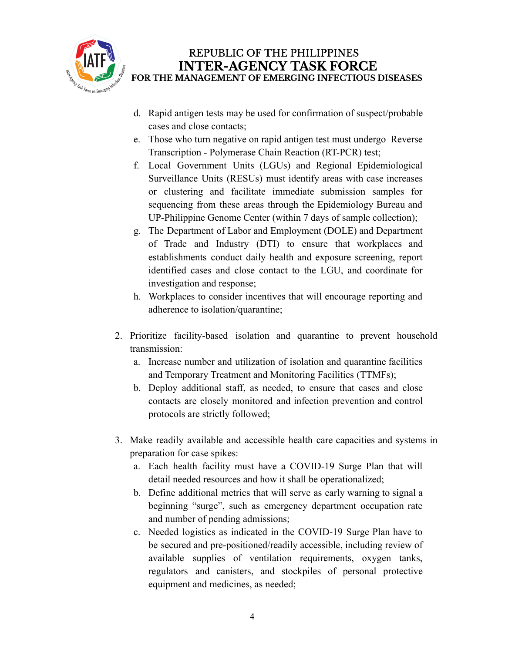

- d. Rapid antigen tests may be used for confirmation of suspect/probable cases and close contacts;
- e. Those who turn negative on rapid antigen test must undergo Reverse Transcription - Polymerase Chain Reaction (RT-PCR) test;
- f. Local Government Units (LGUs) and Regional Epidemiological Surveillance Units (RESUs) must identify areas with case increases or clustering and facilitate immediate submission samples for sequencing from these areas through the Epidemiology Bureau and UP-Philippine Genome Center (within 7 days of sample collection);
- g. The Department of Labor and Employment (DOLE) and Department of Trade and Industry (DTI) to ensure that workplaces and establishments conduct daily health and exposure screening, report identified cases and close contact to the LGU, and coordinate for investigation and response;
- h. Workplaces to consider incentives that will encourage reporting and adherence to isolation/quarantine;
- 2. Prioritize facility-based isolation and quarantine to prevent household transmission:
	- a. Increase number and utilization of isolation and quarantine facilities and Temporary Treatment and Monitoring Facilities (TTMFs);
	- b. Deploy additional staff, as needed, to ensure that cases and close contacts are closely monitored and infection prevention and control protocols are strictly followed;
- 3. Make readily available and accessible health care capacities and systems in preparation for case spikes:
	- a. Each health facility must have a COVID-19 Surge Plan that will detail needed resources and how it shall be operationalized;
	- b. Define additional metrics that will serve as early warning to signal a beginning "surge", such as emergency department occupation rate and number of pending admissions;
	- c. Needed logistics as indicated in the COVID-19 Surge Plan have to be secured and pre-positioned/readily accessible, including review of available supplies of ventilation requirements, oxygen tanks, regulators and canisters, and stockpiles of personal protective equipment and medicines, as needed;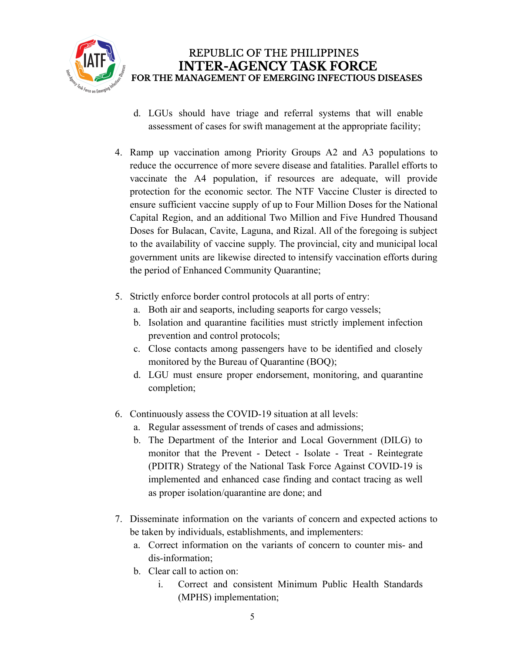

- d. LGUs should have triage and referral systems that will enable assessment of cases for swift management at the appropriate facility;
- 4. Ramp up vaccination among Priority Groups A2 and A3 populations to reduce the occurrence of more severe disease and fatalities. Parallel efforts to vaccinate the A4 population, if resources are adequate, will provide protection for the economic sector. The NTF Vaccine Cluster is directed to ensure sufficient vaccine supply of up to Four Million Doses for the National Capital Region, and an additional Two Million and Five Hundred Thousand Doses for Bulacan, Cavite, Laguna, and Rizal. All of the foregoing is subject to the availability of vaccine supply. The provincial, city and municipal local government units are likewise directed to intensify vaccination efforts during the period of Enhanced Community Quarantine;
- 5. Strictly enforce border control protocols at all ports of entry:
	- a. Both air and seaports, including seaports for cargo vessels;
	- b. Isolation and quarantine facilities must strictly implement infection prevention and control protocols;
	- c. Close contacts among passengers have to be identified and closely monitored by the Bureau of Quarantine (BOQ);
	- d. LGU must ensure proper endorsement, monitoring, and quarantine completion;
- 6. Continuously assess the COVID-19 situation at all levels:
	- a. Regular assessment of trends of cases and admissions;
	- b. The Department of the Interior and Local Government (DILG) to monitor that the Prevent - Detect - Isolate - Treat - Reintegrate (PDITR) Strategy of the National Task Force Against COVID-19 is implemented and enhanced case finding and contact tracing as well as proper isolation/quarantine are done; and
- 7. Disseminate information on the variants of concern and expected actions to be taken by individuals, establishments, and implementers:
	- a. Correct information on the variants of concern to counter mis- and dis-information;
	- b. Clear call to action on:
		- i. Correct and consistent Minimum Public Health Standards (MPHS) implementation;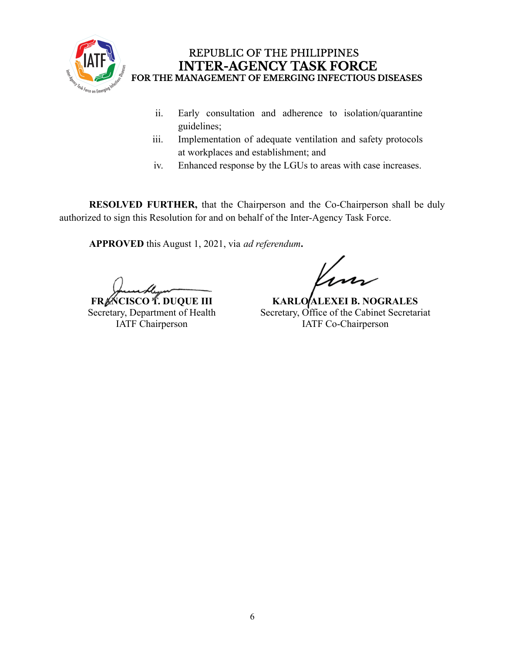

- ii. Early consultation and adherence to isolation/quarantine guidelines;
- iii. Implementation of adequate ventilation and safety protocols at workplaces and establishment; and
- iv. Enhanced response by the LGUs to areas with case increases.

**RESOLVED FURTHER,** that the Chairperson and the Co-Chairperson shall be duly authorized to sign this Resolution for and on behalf of the Inter-Agency Task Force.

**APPROVED** this August 1, 2021, via *ad referendum***.**

**FRACISCO T. DUQUE III** Secretary, Department of Health IATF Chairperson

**KARLO ALEXEI B. NOGRALES** Secretary, Office of the Cabinet Secretariat IATF Co-Chairperson